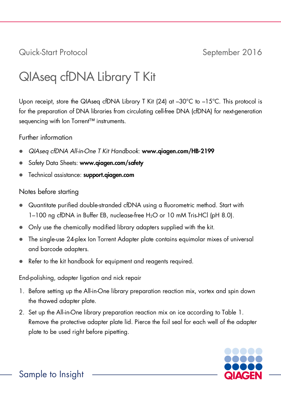Quick-Start Protocol September 2016

# QIAseq cfDNA Library T Kit

Upon receipt, store the QIAseq cfDNA Library T Kit (24) at –30°C to –15°C. This protocol is for the preparation of DNA libraries from circulating cell-free DNA (cfDNA) for next-generation sequencing with Ion Torrent™ instruments.

### Further information

- *QIAseq cfDNA All-in-One T Kit Handbook*: www.qiagen.com/HB-2199
- Safety Data Sheets: www.qiagen.com/safety
- Technical assistance: support.giagen.com

## Notes before starting

- Quantitate purified double-stranded cfDNA using a fluorometric method. Start with 1–100 ng cfDNA in Buffer EB, nuclease-free H<sub>2</sub>O or 10 mM Tris-HCl (pH 8.0).
- Only use the chemically modified library adapters supplied with the kit.
- The single-use 24-plex Ion Torrent Adapter plate contains equimolar mixes of universal and barcode adapters.
- Refer to the kit handbook for equipment and reagents required.

End-polishing, adapter ligation and nick repair

- 1. Before setting up the All-in-One library preparation reaction mix, vortex and spin down the thawed adapter plate.
- 2. Set up the All-in-One library preparation reaction mix on ice according to Table 1. Remove the protective adapter plate lid. Pierce the foil seal for each well of the adapter plate to be used right before pipetting.

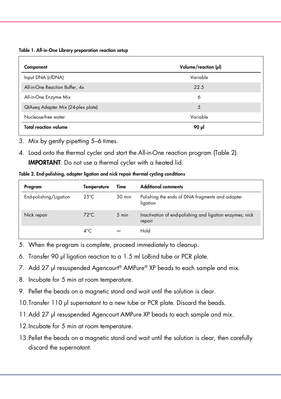Table 1. All-in-One Library preparation reaction setup

| Component                          | Volume/reaction (µl) |
|------------------------------------|----------------------|
| Input DNA (cfDNA)                  | Variable             |
| All-in-One Reaction Buffer, 4x     | 22.5                 |
| All-in-One Enzyme Mix              | 6                    |
| QIAseq Adapter Mix (24-plex plate) | 5                    |
| Nuclease-free water                | Variable             |
| <b>Total reaction volume</b>       | ار 90                |
|                                    |                      |

- 3. Mix by gently pipetting 5–6 times.
- 4. Load onto the thermal cycler and start the All-in-One reaction program (Table 2). IMPORTANT: Do not use a thermal cycler with a heated lid.

Table 2. End-polishing, adapter ligation and nick repair thermal cycling conditions

| Program                | Temperature    | Time     | <b>Additional comments</b>                                         |
|------------------------|----------------|----------|--------------------------------------------------------------------|
| End-polishing/Ligation | $25^{\circ}$ C | 30 min   | Polishing the ends of DNA fragments and adapter<br>ligation        |
| Nick repair            | $72^{\circ}$ C | 5 min    | Inactivation of end-polishing and ligation enzymes; nick<br>repair |
|                        | $4^{\circ}$ C  | $\infty$ | Hold                                                               |

- 5. When the program is complete, proceed immediately to cleanup.
- 6. Transfer 90 µl ligation reaction to a 1.5 ml LoBind tube or PCR plate.
- 7. Add 27 µl resuspended Agencourt® AMPure® XP beads to each sample and mix.
- 8. Incubate for 5 min at room temperature.
- 9. Pellet the beads on a magnetic stand and wait until the solution is clear.
- 10. Transfer 110 µl supernatant to a new tube or PCR plate. Discard the beads.
- 11.Add 27 µl resuspended Agencourt AMPure XP beads to each sample and mix.
- 12.Incubate for 5 min at room temperature.
- 13.Pellet the beads on a magnetic stand and wait until the solution is clear, then carefully discard the supernatant.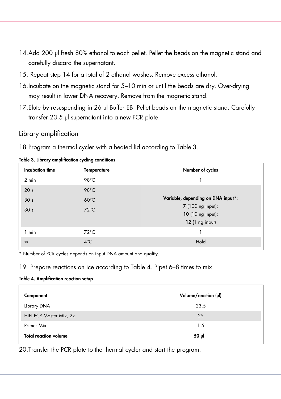- 14.Add 200 µl fresh 80% ethanol to each pellet. Pellet the beads on the magnetic stand and carefully discard the supernatant.
- 15. Repeat step 14 for a total of 2 ethanol washes. Remove excess ethanol.
- 16.Incubate on the magnetic stand for 5–10 min or until the beads are dry. Over-drying may result in lower DNA recovery. Remove from the magnetic stand.
- 17.Elute by resuspending in 26 µl Buffer EB. Pellet beads on the magnetic stand. Carefully transfer 23.5 µl supernatant into a new PCR plate.

#### Library amplification

18.Program a thermal cycler with a heated lid according to Table 3.

| Incubation time | <b>Temperature</b> | Number of cycles                   |
|-----------------|--------------------|------------------------------------|
| $2$ min         | 98°C               |                                    |
| 20 <sub>s</sub> | $98^{\circ}$ C     |                                    |
| 30 <sub>s</sub> | $60^{\circ}$ C     | Variable, depending on DNA input*: |
| 30 <sub>s</sub> | $72^{\circ}$ C     | <b>7</b> (100 ng input);           |
|                 |                    | 10 (10 ng input);                  |
|                 |                    | 12(1 ng input)                     |
| 1 min           | $72^{\circ}$ C     |                                    |
| $\infty$        | $4^{\circ}$ C      | Hold                               |

|  |  | Table 3. Library amplification cycling conditions |  |  |
|--|--|---------------------------------------------------|--|--|
|--|--|---------------------------------------------------|--|--|

\* Number of PCR cycles depends on input DNA amount and quality.

19. Prepare reactions on ice according to Table 4. Pipet 6–8 times to mix.

#### Table 4. Amplification reaction setup

| Component                    | Volume/reaction (µl) |
|------------------------------|----------------------|
| Library DNA                  | 23.5                 |
| HiFi PCR Master Mix, 2x      | 25                   |
| Primer Mix                   | 1.5                  |
| <b>Total reaction volume</b> | 50 µl                |

20.Transfer the PCR plate to the thermal cycler and start the program.